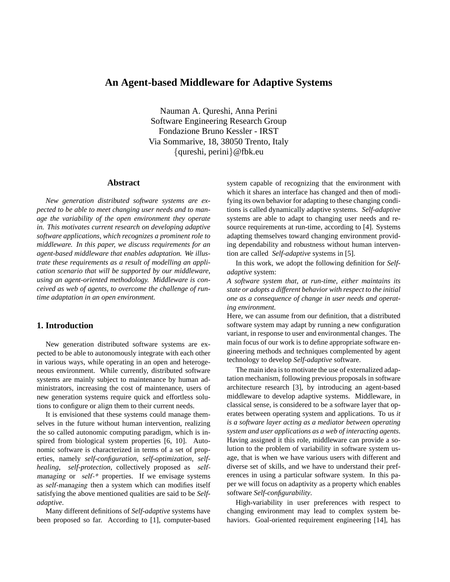# **An Agent-based Middleware for Adaptive Systems**

Nauman A. Qureshi, Anna Perini Software Engineering Research Group Fondazione Bruno Kessler - IRST Via Sommarive, 18, 38050 Trento, Italy {qureshi, perini}@fbk.eu

### **Abstract**

*New generation distributed software systems are expected to be able to meet changing user needs and to manage the variability of the open environment they operate in. This motivates current research on developing adaptive software applications, which recognizes a prominent role to middleware. In this paper, we discuss requirements for an agent-based middleware that enables adaptation. We illustrate these requirements as a result of modelling an application scenario that will be supported by our middleware, using an agent-oriented methodology. Middleware is conceived as web of agents, to overcome the challenge of runtime adaptation in an open environment.*

### **1. Introduction**

New generation distributed software systems are expected to be able to autonomously integrate with each other in various ways, while operating in an open and heterogeneous environment. While currently, distributed software systems are mainly subject to maintenance by human administrators, increasing the cost of maintenance, users of new generation systems require quick and effortless solutions to configure or align them to their current needs.

It is envisioned that these systems could manage themselves in the future without human intervention, realizing the so called autonomic computing paradigm, which is inspired from biological system properties [6, 10]. Autonomic software is characterized in terms of a set of properties, namely *self-configuration*, *self-optimization*, *selfhealing*, *self-protection*, collectively proposed as selfmanaging or self-\* properties. If we envisage systems as self-managing then a system which can modifies itself satisfying the above mentioned qualities are said to be *Selfadaptive*.

Many different definitions of *Self-adaptive* systems have been proposed so far. According to [1], computer-based system capable of recognizing that the environment with which it shares an interface has changed and then of modifying its own behavior for adapting to these changing conditions is called dynamically adaptive systems. *Self-adaptive* systems are able to adapt to changing user needs and resource requirements at run-time, according to [4]. Systems adapting themselves toward changing environment providing dependability and robustness without human intervention are called *Self-adaptive* systems in [5].

In this work, we adopt the following definition for *Selfadaptive* system:

*A software system that, at run-time, either maintains its state or adopts a different behavior with respect to the initial one as a consequence of change in user needs and operating environment.*

Here, we can assume from our definition, that a distributed software system may adapt by running a new configuration variant, in response to user and environmental changes. The main focus of our work is to define appropriate software engineering methods and techniques complemented by agent technology to develop *Self-adaptive* software.

The main idea is to motivate the use of externalized adaptation mechanism, following previous proposals in software architecture research [3], by introducing an agent-based middleware to develop adaptive systems. Middleware, in classical sense, is considered to be a software layer that operates between operating system and applications. To us *it is a software layer acting as a mediator between operating system and user applications as a web of interacting agents*. Having assigned it this role, middleware can provide a solution to the problem of variability in software system usage, that is when we have various users with different and diverse set of skills, and we have to understand their preferences in using a particular software system. In this paper we will focus on adaptivity as a property which enables software *Self-configurability*.

High-variability in user preferences with respect to changing environment may lead to complex system behaviors. Goal-oriented requirement engineering [14], has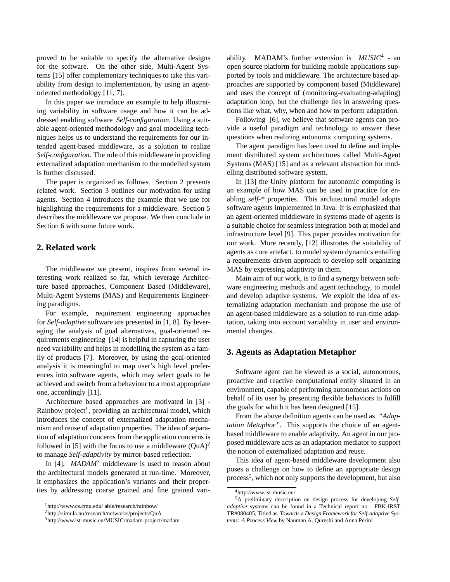proved to be suitable to specify the alternative designs for the software. On the other side, Multi-Agent Systems [15] offer complementary techniques to take this variability from design to implementation, by using an agentoriented methodology [11, 7].

In this paper we introduce an example to help illustrating variability in software usage and how it can be addressed enabling software *Self-configuration*. Using a suitable agent-oriented methodology and goal modelling techniques helps us to understand the requirements for our intended agent-based middleware, as a solution to realize *Self-configuration*. The role of this middleware in providing externalized adaptation mechanism to the modelled system is further discussed.

The paper is organized as follows. Section 2 presents related work. Section 3 outlines our motivation for using agents. Section 4 introduces the example that we use for highlighting the requirements for a middleware. Section 5 describes the middleware we propose. We then conclude in Section 6 with some future work.

### **2. Related work**

The middleware we present, inspires from several interesting work realized so far, which leverage Architecture based approaches, Component Based (Middleware), Multi-Agent Systems (MAS) and Requirements Engineering paradigms.

For example, requirement engineering approaches for *Self-adaptive* software are presented in [1, 8]. By leveraging the analysis of goal alternatives, goal-oriented requirements engineering [14] is helpful in capturing the user need variability and helps in modelling the system as a family of products [7]. Moreover, by using the goal-oriented analysis it is meaningful to map user's high level preferences into software agents, which may select goals to be achieved and switch from a behaviour to a most appropriate one, accordingly [11].

Architecture based approaches are motivated in [3] - Rainbow project<sup>1</sup>, providing an architectural model, which introduces the concept of externalized adaptation mechanism and reuse of adaptation properties. The idea of separation of adaptation concerns from the application concerns is followed in [5] with the focus to use a middleware  $(QuA)^2$ to manage *Self-adaptivity* by mirror-based reflection.

In [4], *MADAM*<sup>3</sup> middleware is used to reason about the architectural models generated at run-time. Moreover, it emphasizes the application's variants and their properties by addressing coarse grained and fine grained vari-

ability. MADAM's further extension is *MUSIC*<sup>4</sup> - an open source platform for building mobile applications supported by tools and middleware. The architecture based approaches are supported by component based (Middleware) and uses the concept of (monitoring-evaluating-adapting) adaptation loop, but the challenge lies in answering questions like what, why, when and how to perform adaptation.

Following [6], we believe that software agents can provide a useful paradigm and technology to answer these questions when realizing autonomic computing systems.

The agent paradigm has been used to define and implement distributed system architectures called Multi-Agent Systems (MAS) [15] and as a relevant abstraction for modelling distributed software system.

In [13] the Unity platform for autonomic computing is an example of how MAS can be used in practice for enabling *self-\** properties. This architectural model adopts software agents implemented in Java. It is emphasized that an agent-oriented middleware in systems made of agents is a suitable choice for seamless integration both at model and infrastructure level [9]. This paper provides motivation for our work. More recently, [12] illustrates the suitability of agents as core artefact. to model system dynamics entailing a requirements driven approach to develop self organizing MAS by expressing adaptivity in them.

Main aim of our work, is to find a synergy between software engineering methods and agent technology, to model and develop adaptive systems. We exploit the idea of externalizing adaptation mechanism and propose the use of an agent-based middleware as a solution to run-time adaptation, taking into account variability in user and environmental changes.

# **3. Agents as Adaptation Metaphor**

Software agent can be viewed as a social, autonomous, proactive and reactive computational entity situated in an environment, capable of performing autonomous actions on behalf of its user by presenting flexible behaviors to fulfill the goals for which it has been designed [15].

From the above definition agents can be used as *"Adaptation Metaphor"*. This supports the choice of an agentbased middleware to enable adaptivity. An agent in our proposed middleware acts as an adaptation mediator to support the notion of externalized adaptation and reuse.

This idea of agent-based middleware development also poses a challenge on how to define an appropriate design process<sup>5</sup>, which not only supports the development, but also

<sup>1</sup>http://www.cs.cmu.edu/ able/research/rainbow/

<sup>2</sup>http://simula.no/research/networks/projects/QuA

<sup>3</sup>http://www.ist-music.eu/MUSIC/madam-project/madam

<sup>4</sup>http://www.ist-music.eu/

<sup>5</sup>A preliminary description on design process for developing *Selfadaptive* systems can be found in a Technical report no. FBK-IRST TR#080405, Titled as *Towards a Design Framework for Self-adaptive Systems: A Process View* by Nauman A. Qureshi and Anna Perini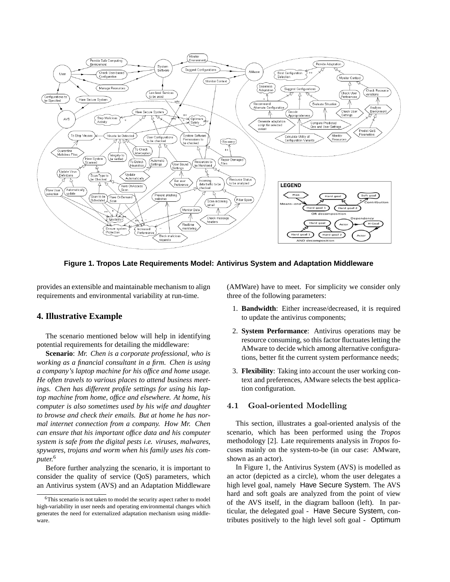

**Figure 1. Tropos Late Requirements Model: Antivirus System and Adaptation Middleware**

provides an extensible and maintainable mechanism to align requirements and environmental variability at run-time.

### **4. Illustrative Example**

The scenario mentioned below will help in identifying potential requirements for detailing the middleware:

**Scenario**: *Mr. Chen is a corporate professional, who is working as a financial consultant in a firm. Chen is using a company's laptop machine for his office and home usage. He often travels to various places to attend business meetings. Chen has different profile settings for using his laptop machine from home, office and elsewhere. At home, his computer is also sometimes used by his wife and daughter to browse and check their emails. But at home he has normal internet connection from a company. How Mr. Chen can ensure that his important office data and his computer system is safe from the digital pests i.e. viruses, malwares, spywares, trojans and worm when his family uses his computer.*<sup>6</sup>

Before further analyzing the scenario, it is important to consider the quality of service (QoS) parameters, which an Antivirus system (AVS) and an Adaptation Middleware (AMWare) have to meet. For simplicity we consider only three of the following parameters:

- 1. **Bandwidth**: Either increase/decreased, it is required to update the antivirus components;
- 2. **System Performance**: Antivirus operations may be resource consuming, so this factor fluctuates letting the AMware to decide which among alternative configurations, better fit the current system performance needs;
- 3. **Flexibility**: Taking into account the user working context and preferences, AMware selects the best application configuration.

# 4.1 Goal-oriented Modelling

This section, illustrates a goal-oriented analysis of the scenario, which has been performed using the *Tropos* methodology [2]. Late requirements analysis in *Tropos* focuses mainly on the system-to-be (in our case: AMware, shown as an actor).

In Figure 1, the Antivirus System (AVS) is modelled as an actor (depicted as a circle), whom the user delegates a high level goal, namely Have Secure System. The AVS hard and soft goals are analyzed from the point of view of the AVS itself, in the diagram balloon (left). In particular, the delegated goal - Have Secure System, contributes positively to the high level soft goal - Optimum

<sup>6</sup>This scenario is not taken to model the security aspect rather to model high-variability in user needs and operating environmental changes which generates the need for externalized adaptation mechanism using middleware.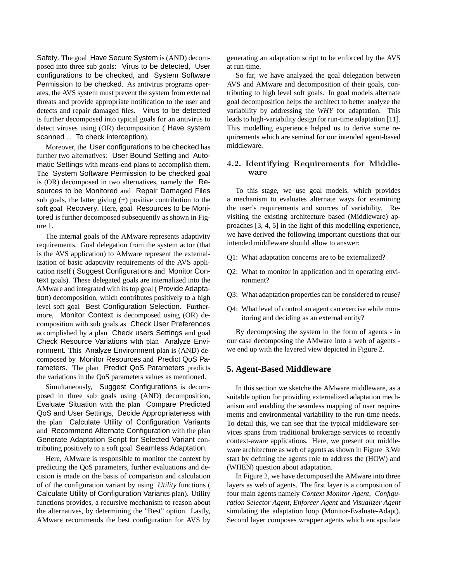Safety. The goal Have Secure System is (AND) decomposed into three sub goals: Virus to be detected, User configurations to be checked, and System Software Permission to be checked. As antivirus programs operates, the AVS system must prevent the system from external threats and provide appropriate notification to the user and detects and repair damaged files. Virus to be detected is further decomposed into typical goals for an antivirus to detect viruses using (OR) decomposition ( Have system scanned ... To check interception).

Moreover, the User configurations to be checked has further two alternatives: User Bound Setting and Automatic Settings with means-end plans to accomplish them. The System Software Permission to be checked goal is (OR) decomposed in two alternatives, namely the Resources to be Monitored and Repair Damaged Files sub goals, the latter giving  $(+)$  positive contribution to the soft goal Recovery. Here, goal Resources to be Monitored is further decomposed subsequently as shown in Figure 1.

The internal goals of the AMware represents adaptivity requirements. Goal delegation from the system actor (that is the AVS application) to AMware represent the externalization of basic adaptivity requirements of the AVS application itself ( Suggest Configurations and Monitor Context goals). These delegated goals are internalized into the AMware and integrated with its top goal ( Provide Adaptation) decomposition, which contributes positively to a high level soft goal Best Configuration Selection. Furthermore, Monitor Context is decomposed using (OR) decomposition with sub goals as Check User Preferences accomplished by a plan Check users Settings and goal Check Resource Variations with plan Analyze Environment. This Analyze Environment plan is (AND) decomposed by Monitor Resources and Predict QoS Parameters. The plan Predict QoS Parameters predicts the variations in the QoS parameters values as mentioned.

Simultaneously, Suggest Configurations is decomposed in three sub goals using (AND) decomposition, Evaluate Situation with the plan Compare Predicted QoS and User Settings, Decide Appropriateness with the plan Calculate Utility of Configuration Variants and Recommend Alternate Configuration with the plan Generate Adaptation Script for Selected Variant contributing positively to a soft goal Seamless Adaptation.

Here, AMware is responsible to monitor the context by predicting the QoS parameters, further evaluations and decision is made on the basis of comparison and calculation of of the configuration variant by using *Utility* functions ( Calculate Utility of Configuration Variants plan). Utility functions provides, a recursive mechanism to reason about the alternatives, by determining the "Best" option. Lastly, AMware recommends the best configuration for AVS by generating an adaptation script to be enforced by the AVS at run-time.

So far, we have analyzed the goal delegation between AVS and AMware and decomposition of their goals, contributing to high level soft goals. In goal models alternate goal decomposition helps the architect to better analyze the variability by addressing the *WHY* for adaptation. This leads to high-variability design for run-time adaptation [11]. This modelling experience helped us to derive some requirements which are seminal for our intended agent-based middleware.

### 4.2. Identifying Requirements for Middleware

To this stage, we use goal models, which provides a mechanism to evaluates alternate ways for examining the user's requirements and sources of variability. Revisiting the existing architecture based (Middleware) approaches [3, 4, 5] in the light of this modelling experience, we have derived the following important questions that our intended middleware should allow to answer:

- Q1: What adaptation concerns are to be externalized?
- Q2: What to monitor in application and in operating environment?
- Q3: What adaptation properties can be considered to reuse?
- Q4: What level of control an agent can exercise while monitoring and deciding as an external entity?

By decomposing the system in the form of agents - in our case decomposing the AMware into a web of agents we end up with the layered view depicted in Figure 2.

#### **5. Agent-Based Middleware**

In this section we sketche the AMware middleware, as a suitable option for providing externalized adaptation mechanism and enabling the seamless mapping of user requirements and environmental variability to the run-time needs. To detail this, we can see that the typical middleware services spans from traditional brokerage services to recently context-aware applications. Here, we present our middleware architecture as web of agents as shown in Figure 3.We start by defining the agents role to address the (HOW) and (WHEN) question about adaptation.

In Figure 2, we have decomposed the AMware into three layers as web of agents. The first layer is a composition of four main agents namely *Context Monitor Agent*, *Configuration Selector Agent*, *Enforcer Agent* and *Visualizer Agent* simulating the adaptation loop (Monitor-Evaluate-Adapt). Second layer composes wrapper agents which encapsulate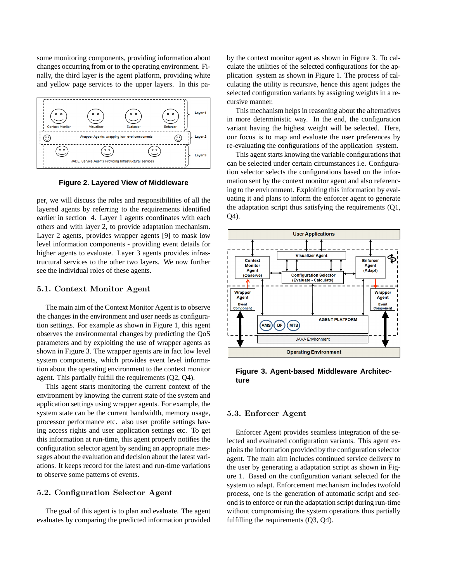some monitoring components, providing information about changes occurring from or to the operating environment. Finally, the third layer is the agent platform, providing white and yellow page services to the upper layers. In this pa-



**Figure 2. Layered View of Middleware**

per, we will discuss the roles and responsibilities of all the layered agents by referring to the requirements identified earlier in section 4. Layer 1 agents coordinates with each others and with layer 2, to provide adaptation mechanism. Layer 2 agents, provides wrapper agents [9] to mask low level information components - providing event details for higher agents to evaluate. Layer 3 agents provides infrastructural services to the other two layers. We now further see the individual roles of these agents.

#### 5.1. Context Monitor Agent

The main aim of the Context Monitor Agent is to observe the changes in the environment and user needs as configuration settings. For example as shown in Figure 1, this agent observes the environmental changes by predicting the QoS parameters and by exploiting the use of wrapper agents as shown in Figure 3. The wrapper agents are in fact low level system components, which provides event level information about the operating environment to the context monitor agent. This partially fulfill the requirements (Q2, Q4).

This agent starts monitoring the current context of the environment by knowing the current state of the system and application settings using wrapper agents. For example, the system state can be the current bandwidth, memory usage, processor performance etc. also user profile settings having access rights and user application settings etc. To get this information at run-time, this agent properly notifies the configuration selector agent by sending an appropriate messages about the evaluation and decision about the latest variations. It keeps record for the latest and run-time variations to observe some patterns of events.

### 5.2. Configuration Selector Agent

The goal of this agent is to plan and evaluate. The agent evaluates by comparing the predicted information provided by the context monitor agent as shown in Figure 3. To calculate the utilities of the selected configurations for the application system as shown in Figure 1. The process of calculating the utility is recursive, hence this agent judges the selected configuration variants by assigning weights in a recursive manner.

This mechanism helps in reasoning about the alternatives in more deterministic way. In the end, the configuration variant having the highest weight will be selected. Here, our focus is to map and evaluate the user preferences by re-evaluating the configurations of the application system.

This agent starts knowing the variable configurations that can be selected under certain circumstances i.e. Configuration selector selects the configurations based on the information sent by the context monitor agent and also referencing to the environment. Exploiting this information by evaluating it and plans to inform the enforcer agent to generate the adaptation script thus satisfying the requirements (Q1, Q4).



**Figure 3. Agent-based Middleware Architecture**

#### 5.3. Enforcer Agent

Enforcer Agent provides seamless integration of the selected and evaluated configuration variants. This agent exploits the information provided by the configuration selector agent. The main aim includes continued service delivery to the user by generating a adaptation script as shown in Figure 1. Based on the configuration variant selected for the system to adapt. Enforcement mechanism includes twofold process, one is the generation of automatic script and second is to enforce or run the adaptation script during run-time without compromising the system operations thus partially fulfilling the requirements (Q3, Q4).